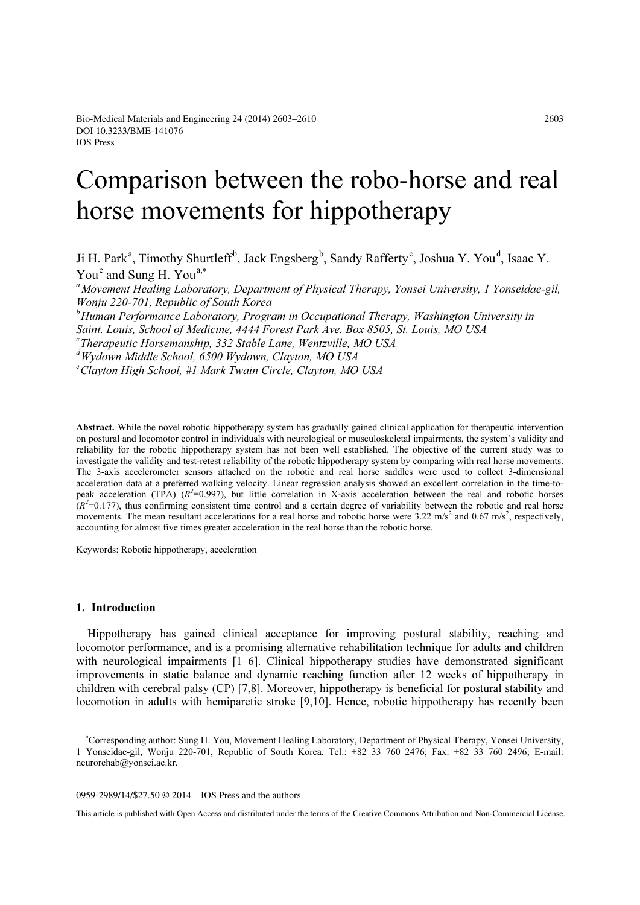# Comparison between the robo-horse and real horse movements for hippotherapy

Ji H. Park<sup>a</sup>, Timothy Shurtleff<sup>b</sup>, Jack Engsberg<sup>b</sup>, Sandy Rafferty<sup>c</sup>, Joshua Y. You<sup>d</sup>, Isaac Y.  $You<sup>e</sup>$  and Sung H. You<sup>a,\*</sup>

<sup>a</sup> Movement Healing Laboratory, Department of Physical Therapy, Yonsei University, 1 Yonseidae-gil, Wonju 220-701, Republic of South Korea <sup>b</sup> Human Performance Laboratory, Program in Occupational Therapy, Washington University in Saint. Louis, School of Medicine, 4444 Forest Park Ave. Box 8505, St. Louis, MO USA  $\epsilon$ Therapeutic Horsemanship, 332 Stable Lane, Wentzville, MO USA d Wydown Middle School, 6500 Wydown, Clayton, MO USA e Clayton High School, #1 Mark Twain Circle, Clayton, MO USA

Abstract. While the novel robotic hippotherapy system has gradually gained clinical application for therapeutic intervention on postural and locomotor control in individuals with neurological or musculoskeletal impairments, the system's validity and reliability for the robotic hippotherapy system has not been well established. The objective of the current study was to investigate the validity and test-retest reliability of the robotic hippotherapy system by comparing with real horse movements. The 3-axis accelerometer sensors attached on the robotic and real horse saddles were used to collect 3-dimensional acceleration data at a preferred walking velocity. Linear regression analysis showed an excellent correlation in the time-topeak acceleration (TPA)  $(R^2=0.997)$ , but little correlation in X-axis acceleration between the real and robotic horses  $(R<sup>2</sup>=0.177)$ , thus confirming consistent time control and a certain degree of variability between the robotic and real horse movements. The mean resultant accelerations for a real horse and robotic horse were  $3.22 \text{ m/s}^2$  and  $0.67 \text{ m/s}^2$ , respectively, accounting for almost five times greater acceleration in the real horse than the robotic horse.

Keywords: Robotic hippotherapy, acceleration

# 1. Introduction

Hippotherapy has gained clinical acceptance for improving postural stability, reaching and locomotor performance, and is a promising alternative rehabilitation technique for adults and children with neurological impairments [1–6]. Clinical hippotherapy studies have demonstrated significant improvements in static balance and dynamic reaching function after 12 weeks of hippotherapy in children with cerebral palsy (CP) [7,8]. Moreover, hippotherapy is beneficial for postural stability and locomotion in adults with hemiparetic stroke [9,10]. Hence, robotic hippotherapy has recently been

0959-2989/14/\$27.50 © 2014 – IOS Press and the authors.

This article is published with Open Access and distributed under the terms of the Creative Commons Attribution and Non-Commercial License.

∗ Corresponding author: Sung H. You, Movement Healing Laboratory, Department of Physical Therapy, Yonsei University, 1 Yonseidae-gil, Wonju 220-701, Republic of South Korea. Tel.: +82 33 760 2476; Fax: +82 33 760 2496; E-mail: neurorehab@yonsei.ac.kr.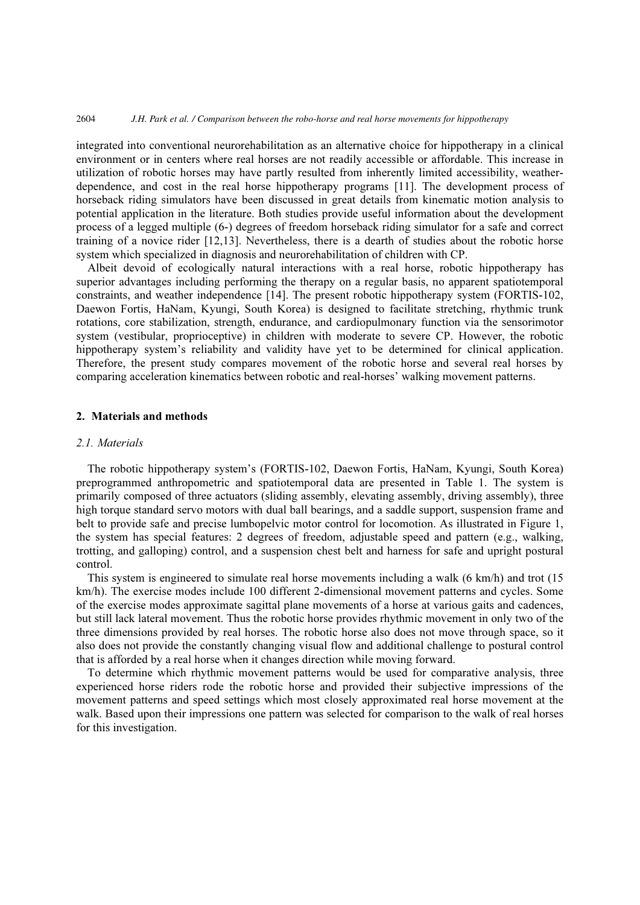#### 2604 *J.H. Park et al. / Comparison between the robo-horse and real horse movements for hippotherapy*

integrated into conventional neurorehabilitation as an alternative choice for hippotherapy in a clinical environment or in centers where real horses are not readily accessible or affordable. This increase in utilization of robotic horses may have partly resulted from inherently limited accessibility, weatherdependence, and cost in the real horse hippotherapy programs [11]. The development process of horseback riding simulators have been discussed in great details from kinematic motion analysis to potential application in the literature. Both studies provide useful information about the development process of a legged multiple (6-) degrees of freedom horseback riding simulator for a safe and correct training of a novice rider [12,13]. Nevertheless, there is a dearth of studies about the robotic horse system which specialized in diagnosis and neurorehabilitation of children with CP.

Albeit devoid of ecologically natural interactions with a real horse, robotic hippotherapy has superior advantages including performing the therapy on a regular basis, no apparent spatiotemporal constraints, and weather independence [14]. The present robotic hippotherapy system (FORTIS-102, Daewon Fortis, HaNam, Kyungi, South Korea) is designed to facilitate stretching, rhythmic trunk rotations, core stabilization, strength, endurance, and cardiopulmonary function via the sensorimotor system (vestibular, proprioceptive) in children with moderate to severe CP. However, the robotic hippotherapy system's reliability and validity have yet to be determined for clinical application. Therefore, the present study compares movement of the robotic horse and several real horses by comparing acceleration kinematics between robotic and real-horses' walking movement patterns.

## 2. Materials and methods

### 2.1. Materials

The robotic hippotherapy system's (FORTIS-102, Daewon Fortis, HaNam, Kyungi, South Korea) preprogrammed anthropometric and spatiotemporal data are presented in Table 1. The system is primarily composed of three actuators (sliding assembly, elevating assembly, driving assembly), three high torque standard servo motors with dual ball bearings, and a saddle support, suspension frame and belt to provide safe and precise lumbopelvic motor control for locomotion. As illustrated in Figure 1, the system has special features: 2 degrees of freedom, adjustable speed and pattern (e.g., walking, trotting, and galloping) control, and a suspension chest belt and harness for safe and upright postural control.

This system is engineered to simulate real horse movements including a walk (6 km/h) and trot (15 km/h). The exercise modes include 100 different 2-dimensional movement patterns and cycles. Some of the exercise modes approximate sagittal plane movements of a horse at various gaits and cadences, but still lack lateral movement. Thus the robotic horse provides rhythmic movement in only two of the three dimensions provided by real horses. The robotic horse also does not move through space, so it also does not provide the constantly changing visual flow and additional challenge to postural control that is afforded by a real horse when it changes direction while moving forward.

To determine which rhythmic movement patterns would be used for comparative analysis, three experienced horse riders rode the robotic horse and provided their subjective impressions of the movement patterns and speed settings which most closely approximated real horse movement at the walk. Based upon their impressions one pattern was selected for comparison to the walk of real horses for this investigation.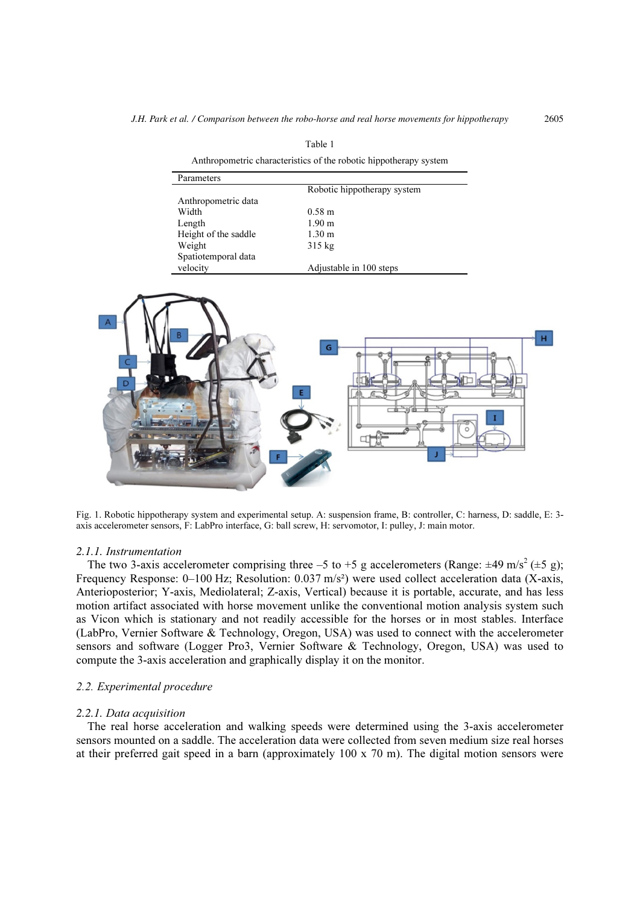Table 1

| Anthropometric characteristics of the robotic hippotherapy system |                             |  |  |  |  |  |
|-------------------------------------------------------------------|-----------------------------|--|--|--|--|--|
| Parameters                                                        |                             |  |  |  |  |  |
|                                                                   | Robotic hippotherapy system |  |  |  |  |  |
| Anthropometric data                                               |                             |  |  |  |  |  |
| Width                                                             | $0.58 \text{ m}$            |  |  |  |  |  |
| Length                                                            | $1.90 \;{\rm m}$            |  |  |  |  |  |
| Height of the saddle                                              | $1.30 \text{ m}$            |  |  |  |  |  |
| Weight                                                            | $315 \text{ kg}$            |  |  |  |  |  |
| Spatiotemporal data                                               |                             |  |  |  |  |  |
| velocity                                                          | Adjustable in 100 steps     |  |  |  |  |  |



Fig. 1. Robotic hippotherapy system and experimental setup. A: suspension frame, B: controller, C: harness, D: saddle, E: 3 axis accelerometer sensors, F: LabPro interface, G: ball screw, H: servomotor, I: pulley, J: main motor.

#### 2.1.1. Instrumentation

The two 3-axis accelerometer comprising three -5 to +5 g accelerometers (Range:  $\pm 49$  m/s<sup>2</sup> ( $\pm 5$  g); Frequency Response: 0–100 Hz; Resolution: 0.037 m/s²) were used collect acceleration data (X-axis, Anterioposterior; Y-axis, Mediolateral; Z-axis, Vertical) because it is portable, accurate, and has less motion artifact associated with horse movement unlike the conventional motion analysis system such as Vicon which is stationary and not readily accessible for the horses or in most stables. Interface (LabPro, Vernier Software & Technology, Oregon, USA) was used to connect with the accelerometer sensors and software (Logger Pro3, Vernier Software & Technology, Oregon, USA) was used to compute the 3-axis acceleration and graphically display it on the monitor.

## 2.2. Experimental procedure

#### 2.2.1. Data acquisition

The real horse acceleration and walking speeds were determined using the 3-axis accelerometer sensors mounted on a saddle. The acceleration data were collected from seven medium size real horses at their preferred gait speed in a barn (approximately 100 x 70 m). The digital motion sensors were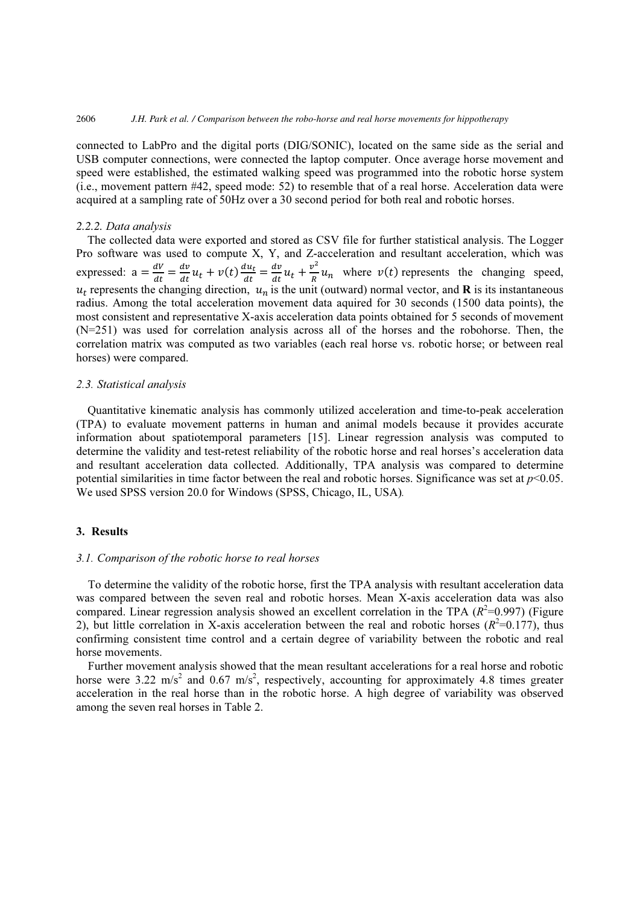#### 2606 *J.H. Park et al. / Comparison between the robo-horse and real horse movements for hippotherapy*

connected to LabPro and the digital ports (DIG/SONIC), located on the same side as the serial and USB computer connections, were connected the laptop computer. Once average horse movement and speed were established, the estimated walking speed was programmed into the robotic horse system (i.e., movement pattern #42, speed mode: 52) to resemble that of a real horse. Acceleration data were acquired at a sampling rate of 50Hz over a 30 second period for both real and robotic horses.

#### 2.2.2. Data analysis

The collected data were exported and stored as CSV file for further statistical analysis. The Logger Pro software was used to compute X, Y, and Z-acceleration and resultant acceleration, which was expressed:  $a = \frac{dV}{dt}$  $\frac{dV}{dt} = \frac{dv}{dt}$  $\frac{dv}{dt}u_t + v(t)\frac{du_t}{dt} = \frac{dv}{dt}$  $\frac{dv}{dt}u_t + \frac{v^2}{R}u_n$  where  $v(t)$  represents the changing speed,  $u_t$  represents the changing direction,  $u_n$  is the unit (outward) normal vector, and **R** is its instantaneous radius. Among the total acceleration movement data aquired for 30 seconds (1500 data points), the most consistent and representative X-axis acceleration data points obtained for 5 seconds of movement (N=251) was used for correlation analysis across all of the horses and the robohorse. Then, the correlation matrix was computed as two variables (each real horse vs. robotic horse; or between real horses) were compared.

# 2.3. Statistical analysis

Quantitative kinematic analysis has commonly utilized acceleration and time-to-peak acceleration (TPA) to evaluate movement patterns in human and animal models because it provides accurate information about spatiotemporal parameters [15]. Linear regression analysis was computed to determine the validity and test-retest reliability of the robotic horse and real horses's acceleration data and resultant acceleration data collected. Additionally, TPA analysis was compared to determine potential similarities in time factor between the real and robotic horses. Significance was set at  $p<0.05$ . We used SPSS version 20.0 for Windows (SPSS, Chicago, IL, USA).

# 3. Results

#### 3.1. Comparison of the robotic horse to real horses

To determine the validity of the robotic horse, first the TPA analysis with resultant acceleration data was compared between the seven real and robotic horses. Mean X-axis acceleration data was also compared. Linear regression analysis showed an excellent correlation in the TPA  $(R^2=0.997)$  (Figure 2), but little correlation in X-axis acceleration between the real and robotic horses  $(R^2=0.177)$ , thus confirming consistent time control and a certain degree of variability between the robotic and real horse movements.

Further movement analysis showed that the mean resultant accelerations for a real horse and robotic horse were 3.22 m/s<sup>2</sup> and 0.67 m/s<sup>2</sup>, respectively, accounting for approximately 4.8 times greater acceleration in the real horse than in the robotic horse. A high degree of variability was observed among the seven real horses in Table 2.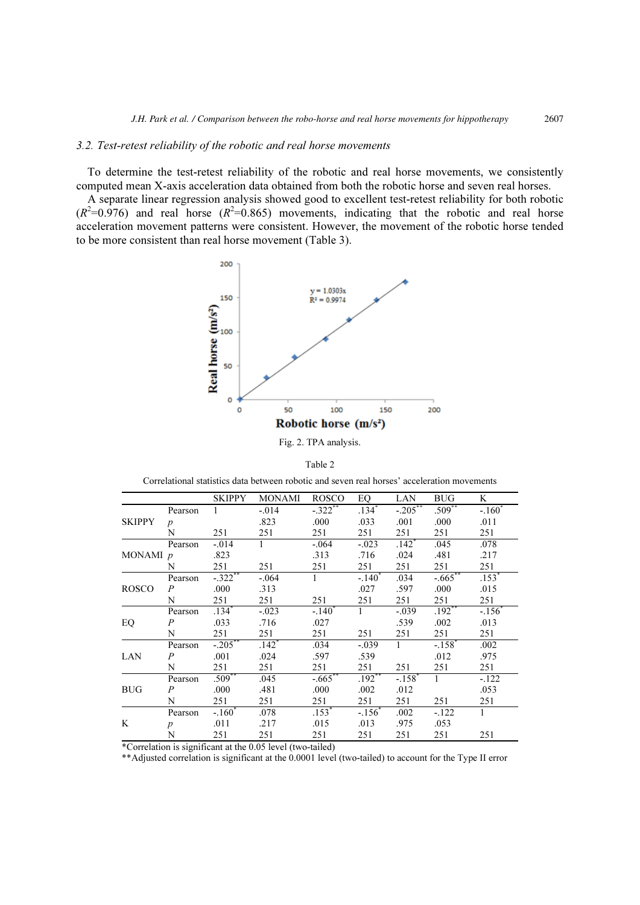## 3.2. Test-retest reliability of the robotic and real horse movements

To determine the test-retest reliability of the robotic and real horse movements, we consistently computed mean X-axis acceleration data obtained from both the robotic horse and seven real horses.

A separate linear regression analysis showed good to excellent test-retest reliability for both robotic  $(R^2=0.976)$  and real horse  $(R^2=0.865)$  movements, indicating that the robotic and real horse acceleration movement patterns were consistent. However, the movement of the robotic horse tended to be more consistent than real horse movement (Table 3).



Fig. 2. TPA analysis.

|--|--|--|--|

Correlational statistics data between robotic and seven real horses' acceleration movements

|               |                  | SKIPPY               | MONAMI                      | ROSCO                | EO.                  | LAN                  | <b>BUG</b>           | K                   |
|---------------|------------------|----------------------|-----------------------------|----------------------|----------------------|----------------------|----------------------|---------------------|
|               | Pearson          | $\mathbf{1}$         | $-.014$                     | $-.322$ **           | $.134*$              | $-.205***$           | $.509**$             | $-.160^*$           |
| <b>SKIPPY</b> | $\boldsymbol{p}$ |                      | .823                        | .000                 | .033                 | .001                 | .000                 | .011                |
|               | N                | 251                  | 251                         | 251                  | 251                  | 251                  | 251                  | 251                 |
|               | Pearson          | $-.014$              | $\mathbf{1}$                | $-.064$              | $-.023$              | $.142$ <sup>*</sup>  | .045                 | .078                |
| MONAMI p      |                  | .823                 |                             | .313                 | .716                 | .024                 | .481                 | .217                |
|               | N                | 251                  | 251                         | 251                  | 251                  | 251                  | 251                  | 251                 |
|               | Pearson          | $-.322$ **           | $-.064$                     | 1                    | $-.140$ <sup>*</sup> | .034                 | $-.665$ **           | $.153$ <sup>*</sup> |
| <b>ROSCO</b>  | $\overline{P}$   | .000                 | .313                        |                      | .027                 | .597                 | .000                 | .015                |
|               | N                | 251                  | 251                         | 251                  | 251                  | 251                  | 251                  | 251                 |
|               | Pearson          | $.134*$              | $-.023$                     | $-.140$ <sup>*</sup> | $\mathbf{1}$         | $-.039$              | $.192**$             | $-.156$             |
| EQ            | $\overline{P}$   | .033                 | .716                        | .027                 |                      | .539                 | .002                 | .013                |
|               | N                | 251                  | 251                         | 251                  | 251                  | 251                  | 251                  | 251                 |
|               | Pearson          | $-.205$ **           | $.142$ <sup>*</sup>         | .034                 | $-.039$              | $\mathbf{1}$         | $-.158$ <sup>*</sup> | .002                |
| LAN           | P                | .001                 | .024                        | .597                 | .539                 |                      | .012                 | .975                |
|               | N                | 251                  | 251                         | 251                  | 251                  | 251                  | 251                  | 251                 |
| <b>BUG</b>    | Pearson          | $.509$ <sup>**</sup> | .045                        | $-.665$ **           | $.192***$            | $-.158$ <sup>*</sup> | $\mathbf{1}$         | $-.122$             |
|               | $\overline{P}$   | .000                 | .481                        | .000                 | .002                 | .012                 |                      | .053                |
|               | N                | 251                  | 251                         | 251                  | 251                  | 251                  | 251                  | 251                 |
|               | Pearson          | $-.160*$             | .078                        | $.153*$              | $-.156*$             | .002                 | $-122$               | 1                   |
| K             | $\boldsymbol{p}$ | .011                 | .217                        | .015                 | .013                 | .975                 | .053                 |                     |
|               | N                | 251                  | 251                         | 251                  | 251                  | 251                  | 251                  | 251                 |
| $\sim$ $\sim$ |                  |                      | $\sim$ $\sim$ $\sim$ $\sim$ |                      |                      |                      |                      |                     |

\*Correlation is significant at the 0.05 level (two-tailed)

\*\*Adjusted correlation is significant at the 0.0001 level (two-tailed) to account for the Type II error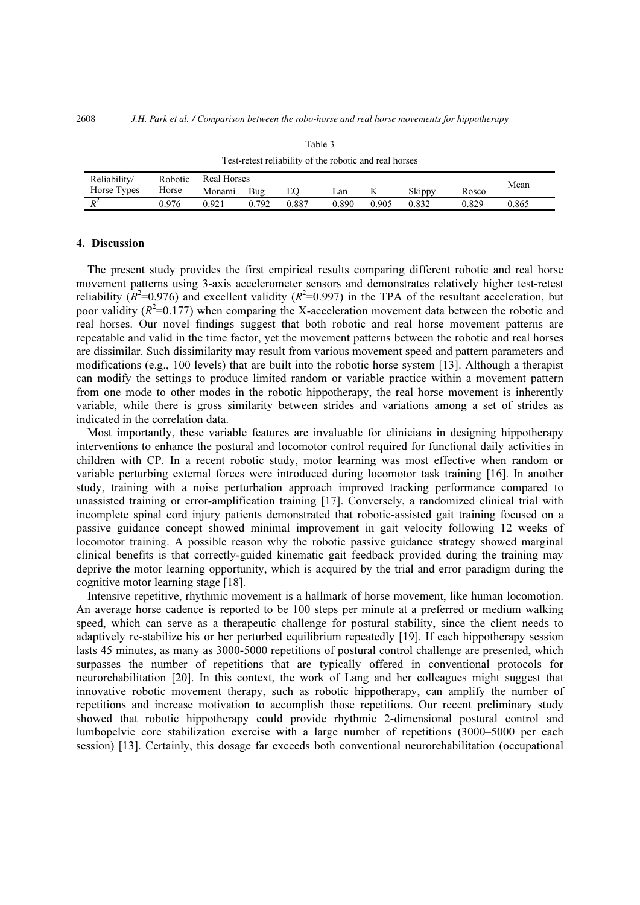| Reliability/ | Robotic | <b>Real Horses</b> |     |       |       |       |        |       |      |
|--------------|---------|--------------------|-----|-------|-------|-------|--------|-------|------|
| Horse Types  | Horse   | Monami             | Bug |       | Lan   |       | Skippy | Rosco | Mean |
| $R^2$        | 0.976   | 0.921              | 792 | 0.887 | 0.890 | 0.905 | 0.832  | 0.829 | .865 |

Table 3 Test-retest reliability of the robotic and real horses

# 4. Discussion

The present study provides the first empirical results comparing different robotic and real horse movement patterns using 3-axis accelerometer sensors and demonstrates relatively higher test-retest reliability  $(R^2=0.976)$  and excellent validity  $(R^2=0.997)$  in the TPA of the resultant acceleration, but poor validity ( $R^2$ =0.177) when comparing the X-acceleration movement data between the robotic and real horses. Our novel findings suggest that both robotic and real horse movement patterns are repeatable and valid in the time factor, yet the movement patterns between the robotic and real horses are dissimilar. Such dissimilarity may result from various movement speed and pattern parameters and modifications (e.g., 100 levels) that are built into the robotic horse system [13]. Although a therapist can modify the settings to produce limited random or variable practice within a movement pattern from one mode to other modes in the robotic hippotherapy, the real horse movement is inherently variable, while there is gross similarity between strides and variations among a set of strides as indicated in the correlation data.

Most importantly, these variable features are invaluable for clinicians in designing hippotherapy interventions to enhance the postural and locomotor control required for functional daily activities in children with CP. In a recent robotic study, motor learning was most effective when random or variable perturbing external forces were introduced during locomotor task training [16]. In another study, training with a noise perturbation approach improved tracking performance compared to unassisted training or error-amplification training [17]. Conversely, a randomized clinical trial with incomplete spinal cord injury patients demonstrated that robotic-assisted gait training focused on a passive guidance concept showed minimal improvement in gait velocity following 12 weeks of locomotor training. A possible reason why the robotic passive guidance strategy showed marginal clinical benefits is that correctly-guided kinematic gait feedback provided during the training may deprive the motor learning opportunity, which is acquired by the trial and error paradigm during the cognitive motor learning stage [18].

Intensive repetitive, rhythmic movement is a hallmark of horse movement, like human locomotion. An average horse cadence is reported to be 100 steps per minute at a preferred or medium walking speed, which can serve as a therapeutic challenge for postural stability, since the client needs to adaptively re-stabilize his or her perturbed equilibrium repeatedly [19]. If each hippotherapy session lasts 45 minutes, as many as 3000-5000 repetitions of postural control challenge are presented, which surpasses the number of repetitions that are typically offered in conventional protocols for neurorehabilitation [20]. In this context, the work of Lang and her colleagues might suggest that innovative robotic movement therapy, such as robotic hippotherapy, can amplify the number of repetitions and increase motivation to accomplish those repetitions. Our recent preliminary study showed that robotic hippotherapy could provide rhythmic 2-dimensional postural control and lumbopelvic core stabilization exercise with a large number of repetitions (3000–5000 per each session) [13]. Certainly, this dosage far exceeds both conventional neurorehabilitation (occupational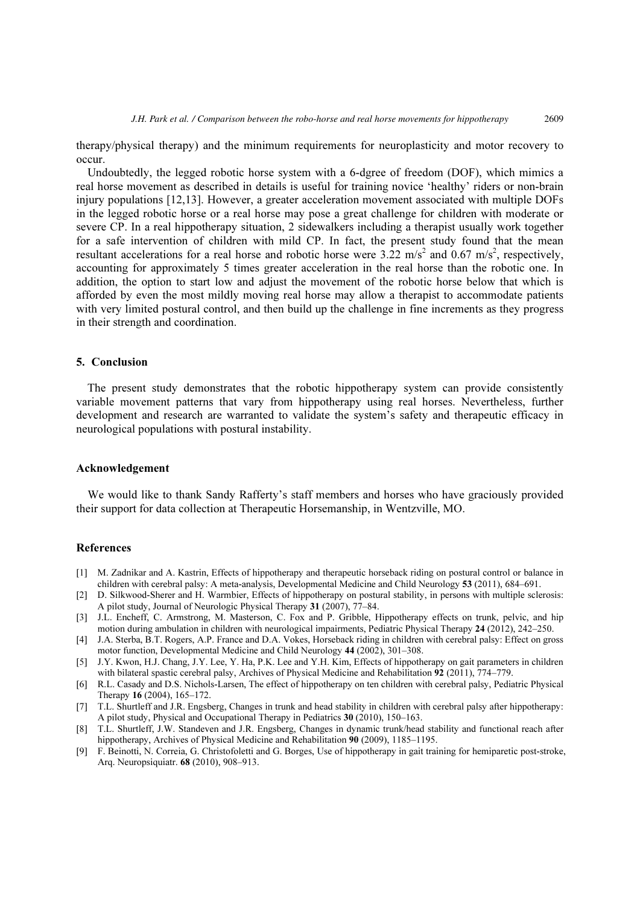therapy/physical therapy) and the minimum requirements for neuroplasticity and motor recovery to occur.

Undoubtedly, the legged robotic horse system with a 6-dgree of freedom (DOF), which mimics a real horse movement as described in details is useful for training novice 'healthy' riders or non-brain injury populations [12,13]. However, a greater acceleration movement associated with multiple DOFs in the legged robotic horse or a real horse may pose a great challenge for children with moderate or severe CP. In a real hippotherapy situation, 2 sidewalkers including a therapist usually work together for a safe intervention of children with mild CP. In fact, the present study found that the mean resultant accelerations for a real horse and robotic horse were  $3.22 \text{ m/s}^2$  and  $0.67 \text{ m/s}^2$ , respectively, accounting for approximately 5 times greater acceleration in the real horse than the robotic one. In addition, the option to start low and adjust the movement of the robotic horse below that which is afforded by even the most mildly moving real horse may allow a therapist to accommodate patients with very limited postural control, and then build up the challenge in fine increments as they progress in their strength and coordination.

## 5. Conclusion

The present study demonstrates that the robotic hippotherapy system can provide consistently variable movement patterns that vary from hippotherapy using real horses. Nevertheless, further development and research are warranted to validate the system's safety and therapeutic efficacy in neurological populations with postural instability.

### Acknowledgement

We would like to thank Sandy Rafferty's staff members and horses who have graciously provided their support for data collection at Therapeutic Horsemanship, in Wentzville, MO.

## References

- [1] M. Zadnikar and A. Kastrin, Effects of hippotherapy and therapeutic horseback riding on postural control or balance in children with cerebral palsy: A meta-analysis, Developmental Medicine and Child Neurology 53 (2011), 684–691.
- [2] D. Silkwood-Sherer and H. Warmbier, Effects of hippotherapy on postural stability, in persons with multiple sclerosis: A pilot study, Journal of Neurologic Physical Therapy 31 (2007), 77–84.
- [3] J.L. Encheff, C. Armstrong, M. Masterson, C. Fox and P. Gribble, Hippotherapy effects on trunk, pelvic, and hip motion during ambulation in children with neurological impairments, Pediatric Physical Therapy 24 (2012), 242–250.
- [4] J.A. Sterba, B.T. Rogers, A.P. France and D.A. Vokes, Horseback riding in children with cerebral palsy: Effect on gross motor function, Developmental Medicine and Child Neurology 44 (2002), 301–308.
- [5] J.Y. Kwon, H.J. Chang, J.Y. Lee, Y. Ha, P.K. Lee and Y.H. Kim, Effects of hippotherapy on gait parameters in children with bilateral spastic cerebral palsy, Archives of Physical Medicine and Rehabilitation 92 (2011), 774–779.
- [6] R.L. Casady and D.S. Nichols-Larsen, The effect of hippotherapy on ten children with cerebral palsy, Pediatric Physical Therapy 16 (2004), 165–172.
- [7] T.L. Shurtleff and J.R. Engsberg, Changes in trunk and head stability in children with cerebral palsy after hippotherapy: A pilot study, Physical and Occupational Therapy in Pediatrics 30 (2010), 150–163.
- [8] T.L. Shurtleff, J.W. Standeven and J.R. Engsberg, Changes in dynamic trunk/head stability and functional reach after hippotherapy, Archives of Physical Medicine and Rehabilitation 90 (2009), 1185–1195.
- [9] F. Beinotti, N. Correia, G. Christofoletti and G. Borges, Use of hippotherapy in gait training for hemiparetic post-stroke, Arq. Neuropsiquiatr. 68 (2010), 908–913.